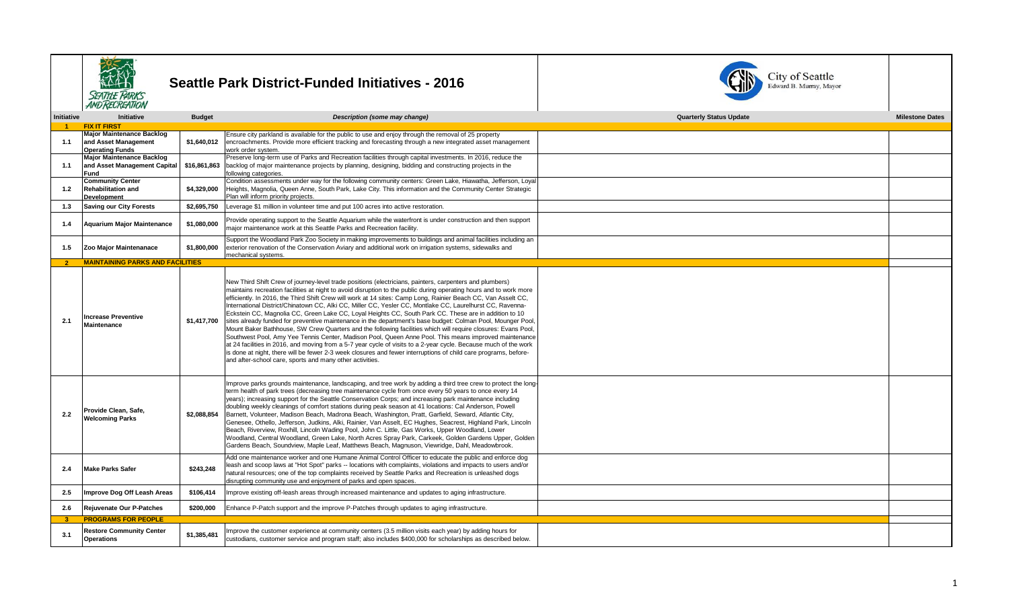

## **SEARCH Seattle Park District-Funded Initiatives - 2016**<br>SEATTLE PARKS<br>ANDRECREATION



| Initiative     | Initiative                                     | <b>Budget</b> | Description (some may change)                                                                                                                                                                                                                                                                                                                                                                                                                                                                                                                                                                                                                                                                                                                                                                                                                                                                                                                                                                                                                                                                                                                                                                                    | <b>Quarterly Status Update</b> | <b>Milestone Dates</b> |
|----------------|------------------------------------------------|---------------|------------------------------------------------------------------------------------------------------------------------------------------------------------------------------------------------------------------------------------------------------------------------------------------------------------------------------------------------------------------------------------------------------------------------------------------------------------------------------------------------------------------------------------------------------------------------------------------------------------------------------------------------------------------------------------------------------------------------------------------------------------------------------------------------------------------------------------------------------------------------------------------------------------------------------------------------------------------------------------------------------------------------------------------------------------------------------------------------------------------------------------------------------------------------------------------------------------------|--------------------------------|------------------------|
|                | <b>FIX IT FIRST</b>                            |               |                                                                                                                                                                                                                                                                                                                                                                                                                                                                                                                                                                                                                                                                                                                                                                                                                                                                                                                                                                                                                                                                                                                                                                                                                  |                                |                        |
|                | <b>Major Maintenance Backlog</b>               |               | Ensure city parkland is available for the public to use and enjoy through the removal of 25 property                                                                                                                                                                                                                                                                                                                                                                                                                                                                                                                                                                                                                                                                                                                                                                                                                                                                                                                                                                                                                                                                                                             |                                |                        |
| 1.1            | and Asset Management                           | \$1,640,012   | encroachments. Provide more efficient tracking and forecasting through a new integrated asset management                                                                                                                                                                                                                                                                                                                                                                                                                                                                                                                                                                                                                                                                                                                                                                                                                                                                                                                                                                                                                                                                                                         |                                |                        |
|                | <b>Operating Funds</b>                         |               | work order system.                                                                                                                                                                                                                                                                                                                                                                                                                                                                                                                                                                                                                                                                                                                                                                                                                                                                                                                                                                                                                                                                                                                                                                                               |                                |                        |
|                | <b>Major Maintenance Backlog</b>               |               | Preserve long-term use of Parks and Recreation facilities through capital investments. In 2016, reduce the                                                                                                                                                                                                                                                                                                                                                                                                                                                                                                                                                                                                                                                                                                                                                                                                                                                                                                                                                                                                                                                                                                       |                                |                        |
| 1.1            | and Asset Management Capital                   | \$16,861,863  | backlog of major maintenance projects by planning, designing, bidding and constructing projects in the                                                                                                                                                                                                                                                                                                                                                                                                                                                                                                                                                                                                                                                                                                                                                                                                                                                                                                                                                                                                                                                                                                           |                                |                        |
|                | Fund<br><b>Community Center</b>                |               | following categories.                                                                                                                                                                                                                                                                                                                                                                                                                                                                                                                                                                                                                                                                                                                                                                                                                                                                                                                                                                                                                                                                                                                                                                                            |                                |                        |
| 1.2            | <b>Rehabilitation and</b>                      | \$4,329,000   | Condition assessments under way for the following community centers: Green Lake, Hiawatha, Jefferson, Loyal<br>Heights, Magnolia, Queen Anne, South Park, Lake City. This information and the Community Center Strategic                                                                                                                                                                                                                                                                                                                                                                                                                                                                                                                                                                                                                                                                                                                                                                                                                                                                                                                                                                                         |                                |                        |
|                | Development                                    |               | Plan will inform priority projects.                                                                                                                                                                                                                                                                                                                                                                                                                                                                                                                                                                                                                                                                                                                                                                                                                                                                                                                                                                                                                                                                                                                                                                              |                                |                        |
|                |                                                |               |                                                                                                                                                                                                                                                                                                                                                                                                                                                                                                                                                                                                                                                                                                                                                                                                                                                                                                                                                                                                                                                                                                                                                                                                                  |                                |                        |
| 1.3            | <b>Saving our City Forests</b>                 | \$2.695.750   | Leverage \$1 million in volunteer time and put 100 acres into active restoration.                                                                                                                                                                                                                                                                                                                                                                                                                                                                                                                                                                                                                                                                                                                                                                                                                                                                                                                                                                                                                                                                                                                                |                                |                        |
| 1.4            | <b>Aquarium Major Maintenance</b>              | \$1,080,000   | Provide operating support to the Seattle Aquarium while the waterfront is under construction and then support<br>major maintenance work at this Seattle Parks and Recreation facility.                                                                                                                                                                                                                                                                                                                                                                                                                                                                                                                                                                                                                                                                                                                                                                                                                                                                                                                                                                                                                           |                                |                        |
|                |                                                |               | Support the Woodland Park Zoo Society in making improvements to buildings and animal facilities including an                                                                                                                                                                                                                                                                                                                                                                                                                                                                                                                                                                                                                                                                                                                                                                                                                                                                                                                                                                                                                                                                                                     |                                |                        |
| 1.5            | Zoo Major Maintenanace                         | \$1,800,000   | exterior renovation of the Conservation Aviary and additional work on irrigation systems, sidewalks and                                                                                                                                                                                                                                                                                                                                                                                                                                                                                                                                                                                                                                                                                                                                                                                                                                                                                                                                                                                                                                                                                                          |                                |                        |
|                |                                                |               | mechanical systems.                                                                                                                                                                                                                                                                                                                                                                                                                                                                                                                                                                                                                                                                                                                                                                                                                                                                                                                                                                                                                                                                                                                                                                                              |                                |                        |
| $\overline{2}$ | <b>MAINTAINING PARKS AND FACILITIES</b>        |               |                                                                                                                                                                                                                                                                                                                                                                                                                                                                                                                                                                                                                                                                                                                                                                                                                                                                                                                                                                                                                                                                                                                                                                                                                  |                                |                        |
| 2.1            | <b>Increase Preventive</b><br>Maintenance      | \$1,417,700   | New Third Shift Crew of journey-level trade positions (electricians, painters, carpenters and plumbers)<br>maintains recreation facilities at night to avoid disruption to the public during operating hours and to work more<br>efficiently. In 2016, the Third Shift Crew will work at 14 sites: Camp Long, Rainier Beach CC, Van Asselt CC,<br>International District/Chinatown CC, Alki CC, Miller CC, Yesler CC, Montlake CC, Laurelhurst CC, Ravenna-<br>Eckstein CC, Magnolia CC, Green Lake CC, Loyal Heights CC, South Park CC. These are in addition to 10<br>sites already funded for preventive maintenance in the department's base budget: Colman Pool, Mounger Pool,<br>Mount Baker Bathhouse, SW Crew Quarters and the following facilities which will require closures: Evans Pool,<br>Southwest Pool, Amy Yee Tennis Center, Madison Pool, Queen Anne Pool. This means improved maintenance<br>at 24 facilities in 2016, and moving from a 5-7 year cycle of visits to a 2-year cycle. Because much of the work<br>is done at night, there will be fewer 2-3 week closures and fewer interruptions of child care programs, before-<br>and after-school care, sports and many other activities. |                                |                        |
| 2.2            | Provide Clean, Safe,<br><b>Welcoming Parks</b> | \$2,088,854   | Improve parks grounds maintenance, landscaping, and tree work by adding a third tree crew to protect the long-<br>term health of park trees (decreasing tree maintenance cycle from once every 50 years to once every 14<br>years); increasing support for the Seattle Conservation Corps; and increasing park maintenance including<br>doubling weekly cleanings of comfort stations during peak season at 41 locations: Cal Anderson, Powell<br>Barnett, Volunteer, Madison Beach, Madrona Beach, Washington, Pratt, Garfield, Seward, Atlantic City,<br>Genesee, Othello, Jefferson, Judkins, Alki, Rainier, Van Asselt, EC Hughes, Seacrest, Highland Park, Lincoln<br>Beach, Riverview, Roxhill, Lincoln Wading Pool, John C. Little, Gas Works, Upper Woodland, Lower<br>Woodland, Central Woodland, Green Lake, North Acres Spray Park, Carkeek, Golden Gardens Upper, Golden<br>Gardens Beach, Soundview, Maple Leaf, Matthews Beach, Magnuson, Viewridge, Dahl, Meadowbrook.                                                                                                                                                                                                                            |                                |                        |
| 2.4            | <b>Make Parks Safer</b>                        | \$243,248     | Add one maintenance worker and one Humane Animal Control Officer to educate the public and enforce dog<br>leash and scoop laws at "Hot Spot" parks -- locations with complaints, violations and impacts to users and/or<br>natural resources; one of the top complaints received by Seattle Parks and Recreation is unleashed dogs<br>disrupting community use and enjoyment of parks and open spaces.                                                                                                                                                                                                                                                                                                                                                                                                                                                                                                                                                                                                                                                                                                                                                                                                           |                                |                        |
| 2.5            | Improve Dog Off Leash Areas                    | \$106,414     | Improve existing off-leash areas through increased maintenance and updates to aging infrastructure.                                                                                                                                                                                                                                                                                                                                                                                                                                                                                                                                                                                                                                                                                                                                                                                                                                                                                                                                                                                                                                                                                                              |                                |                        |
| 2.6            | Rejuvenate Our P-Patches                       | \$200,000     | Enhance P-Patch support and the improve P-Patches through updates to aging infrastructure.                                                                                                                                                                                                                                                                                                                                                                                                                                                                                                                                                                                                                                                                                                                                                                                                                                                                                                                                                                                                                                                                                                                       |                                |                        |
| -3             | <b>PROGRAMS FOR PEOPLE</b>                     |               |                                                                                                                                                                                                                                                                                                                                                                                                                                                                                                                                                                                                                                                                                                                                                                                                                                                                                                                                                                                                                                                                                                                                                                                                                  |                                |                        |
|                | <b>Restore Community Center</b>                |               | Improve the customer experience at community centers (3.5 million visits each year) by adding hours for                                                                                                                                                                                                                                                                                                                                                                                                                                                                                                                                                                                                                                                                                                                                                                                                                                                                                                                                                                                                                                                                                                          |                                |                        |
| 3.1            | <b>Operations</b>                              | \$1,385,481   | custodians, customer service and program staff; also includes \$400,000 for scholarships as described below.                                                                                                                                                                                                                                                                                                                                                                                                                                                                                                                                                                                                                                                                                                                                                                                                                                                                                                                                                                                                                                                                                                     |                                |                        |